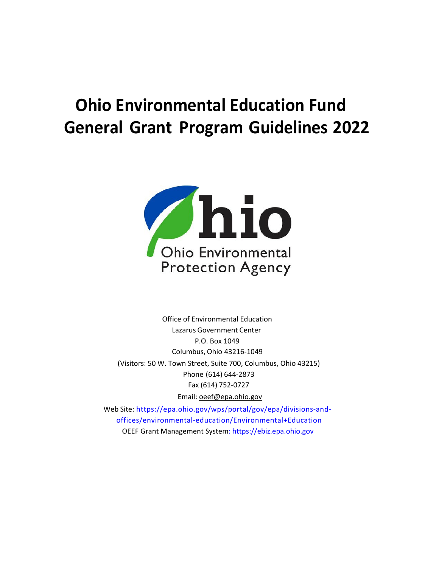# **Ohio Environmental Education Fund General Grant Program Guidelines 2022**



Office of Environmental Education Lazarus Government Center P.O. Box 1049 Columbus, Ohio 43216-1049 (Visitors: 50 W. Town Street, Suite 700, Columbus, Ohio 43215) Phone (614) 644-2873 Fax (614) 752-0727 Email: [oeef@epa.ohio.gov](mailto:oeef@epa.ohio.gov) 

Web Site: [https://epa.ohio.gov/wps/portal/gov/epa/divisions-and](https://epa.ohio.gov/wps/portal/gov/epa/divisions-and-offices/environmental-education/Environmental+Education)[offices/environmental-education/Environmental+Education](https://epa.ohio.gov/wps/portal/gov/epa/divisions-and-offices/environmental-education/Environmental+Education)  OEEF Grant Management System: [https://ebiz.epa.ohio.gov](https://ebiz.epa.ohio.gov/)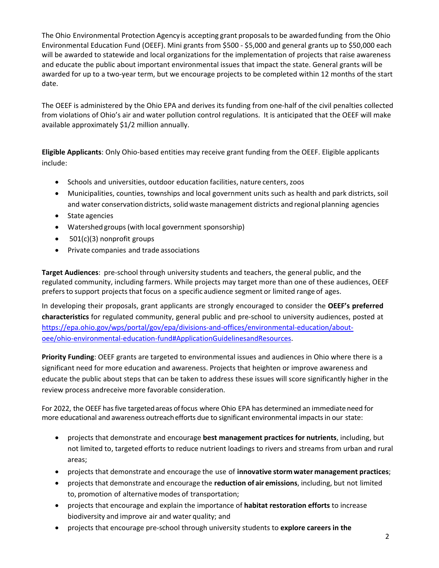The Ohio Environmental Protection Agency is accepting grant proposalsto be awardedfunding from the Ohio Environmental Education Fund (OEEF). Mini grants from \$500 - \$5,000 and general grants up to \$50,000 each will be awarded to statewide and local organizations for the implementation of projects that raise awareness and educate the public about important environmental issues that impact the state. General grants will be awarded for up to a two-year term, but we encourage projects to be completed within 12 months of the start date.

The OEEF is administered by the Ohio EPA and derives its funding from one-half of the civil penalties collected from violations of Ohio's air and water pollution control regulations. It is anticipated that the OEEF will make available approximately \$1/2 million annually.

**Eligible Applicants**: Only Ohio-based entities may receive grant funding from the OEEF. Eligible applicants include:

- Schools and universities, outdoor education facilities, nature centers, zoos
- Municipalities, counties, townships and local government units such as health and park districts, soil and water conservation districts, solid waste management districts and regional planning agencies
- State agencies
- Watershed groups(with local government sponsorship)
- 501(c)(3) nonprofit groups
- Private companies and trade associations

**Target Audiences**: pre-school through university students and teachers, the general public, and the regulated community, including farmers. While projects may target more than one of these audiences, OEEF prefers to support projects that focus on a specific audience segment or limited range of ages.

In developing their proposals, grant applicants are strongly encouraged to consider the **OEEF's preferred characteristics** for regulated community, general public and pre-school to university audiences, posted at [https://epa.ohio.gov/wps/portal/gov/epa/divisions-and-offices/environmental-education/about](https://epa.ohio.gov/wps/portal/gov/epa/divisions-and-offices/environmental-education/about-oee/ohio-environmental-education-fund#ApplicationGuidelinesandResources)[oee/ohio-environmental-education-fund#ApplicationGuidelinesandResources.](https://epa.ohio.gov/wps/portal/gov/epa/divisions-and-offices/environmental-education/about-oee/ohio-environmental-education-fund#ApplicationGuidelinesandResources)

**Priority Funding**: OEEF grants are targeted to environmental issues and audiences in Ohio where there is a significant need for more education and awareness. Projects that heighten or improve awareness and educate the public about steps that can be taken to address these issues will score significantly higher in the review process and receive more favorable consideration.

For 2022, the OEEF hasfive targetedareas offocus where Ohio EPA has determined an immediate need for more educational and awareness outreach efforts due to significant environmental impacts in our state:

- projects that demonstrate and encourage **best management practices for nutrients**, including, but not limited to, targeted efforts to reduce nutrient loadings to rivers and streams from urban and rural areas;
- projects that demonstrate and encourage the use of **innovative storm water management practices**;
- projects that demonstrate and encourage the **reduction of air emissions**, including, but not limited to, promotion of alternative modes of transportation;
- projects that encourage and explain the importance of **habitat restoration efforts** to increase biodiversity and improve air and water quality; and
- projects that encourage pre-school through university students to **explore careers in the**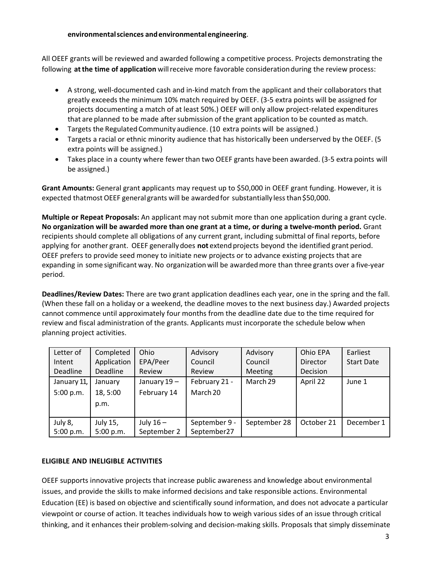## **environmentalsciences andenvironmentalengineering**.

All OEEF grants will be reviewed and awarded following a competitive process. Projects demonstrating the following **atthe time of application** will receive more favorable consideration during the review process:

- A strong, well-documented cash and in-kind match from the applicant and their collaborators that greatly exceeds the minimum 10% match required by OEEF. (3-5 extra points will be assigned for projects documenting a match of at least 50%.) OEEF will only allow project-related expenditures that are planned to be made after submission of the grant application to be counted as match.
- Targets the Regulated Community audience. (10 extra points will be assigned.)
- Targets a racial or ethnic minority audience that has historically been underserved by the OEEF. (5 extra points will be assigned.)
- Takes place in a county where fewer than two OEEF grants have been awarded. (3-5 extra points will be assigned.)

**Grant Amounts:** General grant **a**pplicants may request up to \$50,000 in OEEF grant funding. However, it is expected thatmost OEEF general grants will be awarded for substantially less than \$50,000.

**Multiple or Repeat Proposals:** An applicant may not submit more than one application during a grant cycle. **No organization will be awarded more than one grant at a time, or during a twelve-month period.** Grant recipients should complete all obligations of any current grant, including submittal of final reports, before applying for another grant. OEEF generally does **not** extendprojects beyond the identified grant period. OEEF prefers to provide seed money to initiate new projects or to advance existing projects that are expanding in some significant way. No organization will be awardedmore than three grants over a five-year period.

**Deadlines/Review Dates:** There are two grant application deadlines each year, one in the spring and the fall. (When these fall on a holiday or a weekend, the deadline moves to the next business day.) Awarded projects cannot commence until approximately four months from the deadline date due to the time required for review and fiscal administration of the grants. Applicants must incorporate the schedule below when planning project activities.

| Letter of   | Completed   | Ohio        | Advisory      | Advisory     | Ohio EPA   | Earliest          |
|-------------|-------------|-------------|---------------|--------------|------------|-------------------|
| Intent      | Application | EPA/Peer    | Council       | Council      | Director   | <b>Start Date</b> |
| Deadline    | Deadline    | Review      | Review        | Meeting      | Decision   |                   |
| January 11, | January     | January 19- | February 21 - | March 29     | April 22   | June 1            |
| 5:00 p.m.   | 18,5:00     | February 14 | March 20      |              |            |                   |
|             | p.m.        |             |               |              |            |                   |
|             |             |             |               |              |            |                   |
| July 8,     | July 15,    | July $16-$  | September 9 - | September 28 | October 21 | December 1        |
| 5:00 p.m.   | 5:00 p.m.   | September 2 | September27   |              |            |                   |

# **ELIGIBLE AND INELIGIBLE ACTIVITIES**

OEEF supports innovative projects that increase public awareness and knowledge about environmental issues, and provide the skills to make informed decisions and take responsible actions. Environmental Education (EE) is based on objective and scientifically sound information, and does not advocate a particular viewpoint or course of action. It teaches individuals how to weigh various sides of an issue through critical thinking, and it enhances their problem-solving and decision-making skills. Proposals that simply disseminate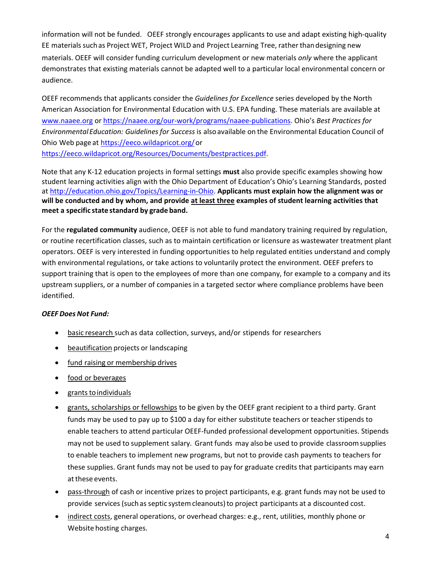information will not be funded. OEEF strongly encourages applicants to use and adapt existing high-quality EE materials suchas Project WET, Project WILD and Project Learning Tree, rather thandesigning new materials. OEEF will consider funding curriculum development or new materials *only* where the applicant demonstrates that existing materials cannot be adapted well to a particular local environmental concern or audience.

OEEF recommends that applicants consider the *Guidelines for Excellence* series developed by the North American Association for Environmental Education with U.S. EPA funding. These materials are available at [www.naaee.org](http://www.naaee.org/) or [https://naaee.org/our-work/programs/naaee-publications.](https://naaee.org/our-work/programs/naaee-publications) Ohio's *Best Practices for Environmental Education: Guidelines for Success*is alsoavailable on the Environmental Education Council of Ohio Web page at [https://eeco.wildapricot.org/o](https://eeco.wildapricot.org/)r [https://eeco.wildapricot.org/Resources/Documents/bestpractices.pdf.](https://eeco.wildapricot.org/Resources/Documents/bestpractices.pdf)

Note that any K-12 education projects in formal settings **must** also provide specific examples showing how student learning activities align with the Ohio Department of Education's Ohio's Learning Standards, posted at [http://education.ohio.gov/Topics/Learning-in-Ohio.](http://education.ohio.gov/Topics/Learning-in-Ohio) **Applicants must explain how the alignment was or will be conducted and by whom, and provide at least three examples of student learning activities that meet a specific state standard by grade band.**

For the **regulated community** audience, OEEF is not able to fund mandatory training required by regulation, or routine recertification classes, such as to maintain certification or licensure as wastewater treatment plant operators. OEEF is very interested in funding opportunities to help regulated entities understand and comply with environmental regulations, or take actions to voluntarily protect the environment. OEEF prefers to support training that is open to the employees of more than one company, for example to a company and its upstream suppliers, or a number of companies in a targeted sector where compliance problems have been identified.

# *OEEF Does Not Fund:*

- basic research such as data collection, surveys, and/or stipends for researchers
- beautification projects or landscaping
- fund raising or membership drives
- food or beverages
- grants to individuals
- grants, scholarships or fellowships to be given by the OEEF grant recipient to a third party. Grant funds may be used to pay up to \$100 a day for either substitute teachers or teacher stipends to enable teachers to attend particular OEEF-funded professional development opportunities. Stipends may not be used to supplement salary. Grant funds may alsobe used to provide classroomsupplies to enable teachers to implement new programs, but not to provide cash payments to teachers for these supplies. Grant funds may not be used to pay for graduate credits that participants may earn at these events.
- pass-through of cash or incentive prizes to project participants, e.g. grant funds may not be used to provide services (such as septic system cleanouts) to project participants at a discounted cost.
- indirect costs, general operations, or overhead charges: e.g., rent, utilities, monthly phone or Website hosting charges.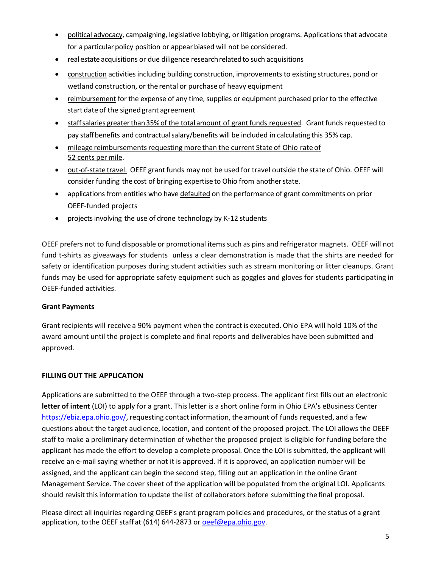- political advocacy, campaigning, legislative lobbying, or litigation programs. Applications that advocate for a particular policy position or appear biased will not be considered.
- realestate acquisitions or due diligence researchrelatedto such acquisitions
- construction activities including building construction, improvements to existing structures, pond or wetland construction, or the rental or purchase of heavy equipment
- reimbursement for the expense of any time, supplies or equipment purchased prior to the effective start date of the signed grant agreement
- staff salaries greater than 35% of the total amount of grant funds requested. Grant funds requested to pay staffbenefits and contractualsalary/benefits will be included in calculating this 35% cap.
- mileage reimbursements requesting more than the current State of Ohio rate of 52 cents per mile.
- out-of-state travel. OEEF grant funds may not be used for travel outside the state of Ohio. OEEF will consider funding the cost of bringing expertise to Ohio from another state.
- applications from entities who have defaulted on the performance of grant commitments on prior OEEF-funded projects
- projects involving the use of drone technology by K-12 students

OEEF prefers not to fund disposable or promotional items such as pins and refrigerator magnets. OEEF will not fund t-shirts as giveaways for students unless a clear demonstration is made that the shirts are needed for safety or identification purposes during student activities such as stream monitoring or litter cleanups. Grant funds may be used for appropriate safety equipment such as goggles and gloves for students participating in OEEF-funded activities.

# **Grant Payments**

Grant recipients will receive a 90% payment when the contract is executed. Ohio EPA will hold 10% of the award amount until the project is complete and final reports and deliverables have been submitted and approved.

# **FILLING OUT THE APPLICATION**

Applications are submitted to the OEEF through a two-step process. The applicant first fills out an electronic **letter of intent** (LOI) to apply for a grant. This letter is a short online form in Ohio EPA's eBusiness Center [https://ebiz.epa.ohio.gov/,](https://ebiz.epa.ohio.gov/) requesting contact information, the amount of funds requested, and a few questions about the target audience, location, and content of the proposed project. The LOI allows the OEEF staff to make a preliminary determination of whether the proposed project is eligible for funding before the applicant has made the effort to develop a complete proposal. Once the LOI is submitted, the applicant will receive an e-mail saying whether or not it is approved. If it is approved, an application number will be assigned, and the applicant can begin the second step, filling out an application in the online Grant Management Service. The cover sheet of the application will be populated from the original LOI. Applicants should revisit thisinformation to update the list of collaborators before submitting the final proposal.

Please direct all inquiries regarding OEEF's grant program policies and procedures, or the status of a grant application, to the OEEF staff at (614) 644-2873 or **[oeef@epa.ohio.gov.](mailto:oeef@epa.ohio.gov)**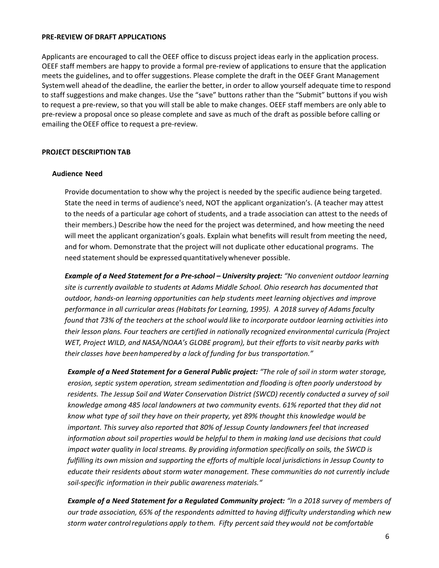#### **PRE-REVIEW OF DRAFT APPLICATIONS**

Applicants are encouraged to call the OEEF office to discuss project ideas early in the application process. OEEF staff members are happy to provide a formal pre-review of applications to ensure that the application meets the guidelines, and to offer suggestions. Please complete the draft in the OEEF Grant Management Systemwell aheadof the deadline, the earlierthe better, in order to allow yourself adequate time to respond to staff suggestions and make changes. Use the "save" buttons rather than the "Submit" buttons if you wish to request a pre-review, so that you will stall be able to make changes. OEEF staff members are only able to pre-review a proposal once so please complete and save as much of the draft as possible before calling or emailing theOEEF office to request a pre-review.

#### **PROJECT DESCRIPTION TAB**

#### **Audience Need**

Provide documentation to show why the project is needed by the specific audience being targeted. State the need in terms of audience's need, NOT the applicant organization's. (A teacher may attest to the needs of a particular age cohort of students, and a trade association can attest to the needs of their members.) Describe how the need for the project was determined, and how meeting the need will meet the applicant organization's goals. Explain what benefits will result from meeting the need, and for whom. Demonstrate that the project will not duplicate other educational programs. The need statement should be expressed quantitatively whenever possible.

*Example of a Need Statement for a Pre-school – University project: "No convenient outdoor learning site is currently available to students at Adams Middle School. Ohio research has documented that outdoor, hands-on learning opportunities can help students meet learning objectives and improve performance in all curricular areas (Habitats for Learning, 1995). A 2018 survey of Adams faculty found that 73% of the teachers at the school would like to incorporate outdoor learning activities into their lesson plans. Four teachers are certified in nationally recognized environmental curricula (Project WET, Project WILD, and NASA/NOAA's GLOBE program), but their efforts to visit nearby parks with their classes have been hampered by a lack of funding for bus transportation."*

*Example of a Need Statement for a General Public project: "The role of soil in storm water storage, erosion, septic system operation, stream sedimentation and flooding is often poorly understood by residents. The Jessup Soil and Water Conservation District (SWCD) recently conducted a survey of soil knowledge among 485 local landowners at two community events. 61% reported that they did not know what type of soil they have on their property, yet 89% thought this knowledge would be important. This survey also reported that 80% of Jessup County landowners feel that increased information about soil properties would be helpful to them in making land use decisions that could impact water quality in local streams. By providing information specifically on soils, the SWCD is fulfilling its own mission and supporting the efforts of multiple local jurisdictions in Jessup County to educate their residents about storm water management. These communities do not currently include soil-specific information in their public awareness materials."*

*Example of a Need Statement for a Regulated Community project: "In a 2018 survey of members of our trade association, 65% of the respondents admitted to having difficulty understanding which new storm water controlregulations apply to them. Fifty percentsaid theywould not be comfortable*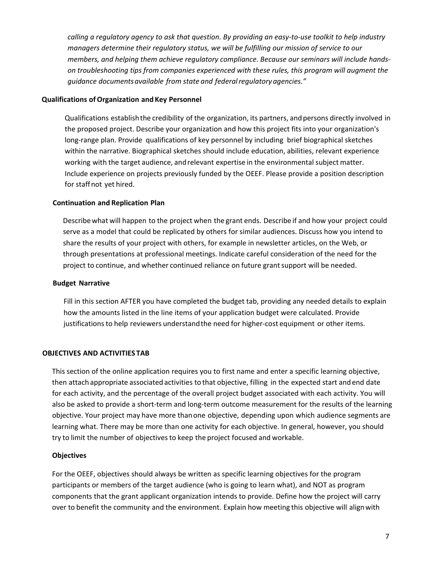*calling a regulatory agency to ask that question. By providing an easy-to-use toolkit to help industry managers determine their regulatory status, we will be fulfilling our mission of service to our members, and helping them achieve regulatory compliance. Because our seminars will include handson troubleshooting tips from companies experienced with these rules, this program will augment the guidance documentsavailable from state and federalregulatoryagencies."*

#### **Qualifications of Organization and Key Personnel**

Qualifications establish the credibility of the organization, its partners, and persons directly involved in the proposed project. Describe your organization and how this project fits into your organization's long-range plan. Provide qualifications of key personnel by including brief biographical sketches within the narrative. Biographical sketches should include education, abilities, relevant experience working with the target audience, and relevant expertise in the environmental subject matter. Include experience on projects previously funded by the OEEF. Please provide a position description for staffnot yet hired.

#### **Continuation and Replication Plan**

Describe what will happen to the project when the grant ends. Describe if and how your project could serve as a model that could be replicated by others for similar audiences. Discuss how you intend to share the results of your project with others, for example in newsletter articles, on the Web, or through presentations at professional meetings. Indicate careful consideration of the need for the project to continue, and whether continued reliance on future grantsupport will be needed.

#### **Budget Narrative**

Fill in this section AFTER you have completed the budget tab, providing any needed details to explain how the amounts listed in the line items of your application budget were calculated. Provide justifications to help reviewers understand the need for higher-cost equipment or other items.

## **OBJECTIVES AND ACTIVITIES TAB**

This section of the online application requires you to first name and enter a specific learning objective, then attach appropriate associated activities to that objective, filling in the expected start and end date for each activity, and the percentage of the overall project budget associated with each activity. You will also be asked to provide a short-term and long-term outcome measurement for the results of the learning objective. Your project may have more thanone objective, depending upon which audience segments are learning what. There may be more than one activity for each objective. In general, however, you should try to limit the number of objectives to keep the project focused and workable.

#### **Objectives**

For the OEEF, objectives should always be written as specific learning objectives for the program participants or members of the target audience (who is going to learn what), and NOT as program components that the grant applicant organization intends to provide. Define how the project will carry over to benefit the community and the environment. Explain how meeting this objective will alignwith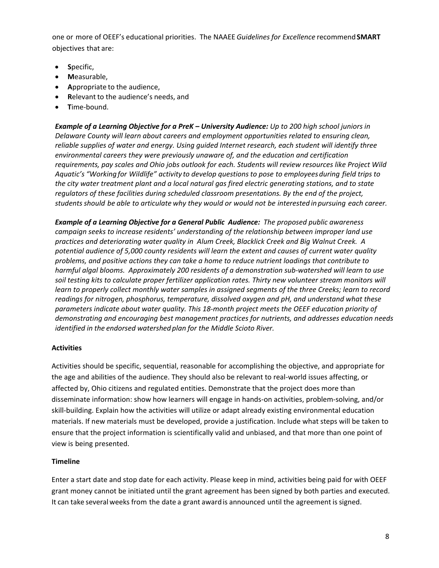one or more of OEEF's educational priorities. The NAAEE *Guidelines for Excellence* recommend**SMART** objectives that are:

- **S**pecific,
- **M**easurable,
- **A**ppropriate to the audience,
- **R**elevant to the audience's needs, and
- **T**ime-bound.

*Example of a Learning Objective for a PreK – University Audience: Up to 200 high school juniors in Delaware County will learn about careers and employment opportunities related to ensuring clean, reliable supplies of water and energy. Using guided Internet research, each student will identify three environmental careers they were previously unaware of, and the education and certification requirements, pay scales and Ohio jobs outlook for each. Students will review resources like Project Wild Aquatic's "Working for Wildlife" activity to develop questions to pose to employeesduring field trips to the city water treatment plant and a local natural gas fired electric generating stations, and to state regulators of these facilities during scheduled classroom presentations. By the end of the project,* students should be able to articulate why they would or would not be interested in pursuing each career.

*Example of a Learning Objective for a General Public Audience: The proposed public awareness campaign seeks to increase residents' understanding of the relationship between improper land use practices and deteriorating water quality in Alum Creek, Blacklick Creek and Big Walnut Creek. A potential audience of 5,000 county residents will learn the extent and causes of current water quality problems, and positive actions they can take a home to reduce nutrient loadings that contribute to harmful algal blooms. Approximately 200 residents of a demonstration sub-watershed will learn to use soil testing kits to calculate proper fertilizer application rates. Thirty new volunteer stream monitors will learn to properly collect monthly water samples in assigned segments of the three Creeks; learn to record readings for nitrogen, phosphorus, temperature, dissolved oxygen and pH, and understand what these parameters indicate about water quality. This 18-month project meets the OEEF education priority of demonstrating and encouraging best management practices for nutrients, and addresses education needs identified in the endorsed watershed plan for the Middle Scioto River.*

# **Activities**

Activities should be specific, sequential, reasonable for accomplishing the objective, and appropriate for the age and abilities of the audience. They should also be relevant to real-world issues affecting, or affected by, Ohio citizens and regulated entities. Demonstrate that the project does more than disseminate information: show how learners will engage in hands-on activities, problem-solving, and/or skill-building. Explain how the activities will utilize or adapt already existing environmental education materials. If new materials must be developed, provide a justification. Include what steps will be taken to ensure that the project information is scientifically valid and unbiased, and that more than one point of view is being presented.

# **Timeline**

Enter a start date and stop date for each activity. Please keep in mind, activities being paid for with OEEF grant money cannot be initiated until the grant agreement has been signed by both parties and executed. It can take several weeks from the date a grant award is announced until the agreement is signed.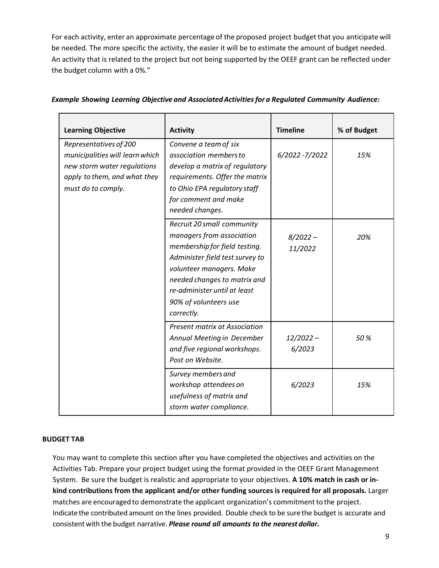For each activity, enter an approximate percentage of the proposed project budget that you anticipate will be needed. The more specific the activity, the easier it will be to estimate the amount of budget needed. An activity that is related to the project but not being supported by the OEEF grant can be reflected under the budget column with a 0%."

| <b>Learning Objective</b>                                                                                                                      | <b>Activity</b>                                                                                                                                                                                                                                                | <b>Timeline</b>       | % of Budget |
|------------------------------------------------------------------------------------------------------------------------------------------------|----------------------------------------------------------------------------------------------------------------------------------------------------------------------------------------------------------------------------------------------------------------|-----------------------|-------------|
| Representatives of 200<br>municipalities will learn which<br>new storm water regulations<br>apply to them, and what they<br>must do to comply. | Convene a team of six<br>association members to<br>develop a matrix of regulatory<br>requirements. Offer the matrix<br>to Ohio EPA regulatory staff<br>for comment and make<br>needed changes.                                                                 | 6/2022 - 7/2022       | 15%         |
|                                                                                                                                                | Recruit 20 small community<br>managers from association<br>membership for field testing.<br>Administer field test survey to<br>volunteer managers. Make<br>needed changes to matrix and<br>re-administer until at least<br>90% of volunteers use<br>correctly. | $8/2022 -$<br>11/2022 | 20%         |
|                                                                                                                                                | Present matrix at Association<br>Annual Meeting in December<br>and five regional workshops.<br>Post on Website.                                                                                                                                                | $12/2022 -$<br>6/2023 | 50%         |
|                                                                                                                                                | Survey members and<br>workshop attendees on<br>usefulness of matrix and<br>storm water compliance.                                                                                                                                                             | 6/2023                | 15%         |

## *Example Showing Learning Objective and AssociatedActivitiesfor a Regulated Community Audience:*

#### **BUDGET TAB**

You may want to complete this section after you have completed the objectives and activities on the Activities Tab. Prepare your project budget using the format provided in the OEEF Grant Management System. Be sure the budget is realistic and appropriate to your objectives. **A 10% match in cash or inkind contributions from the applicant and/or other funding sources is required for all proposals.** Larger matches are encouraged to demonstrate the applicant organization's commitment to the project. Indicate the contributed amount on the lines provided. Double check to be sure the budget is accurate and consistent with the budget narrative. *Please round all amounts to the nearest dollar.*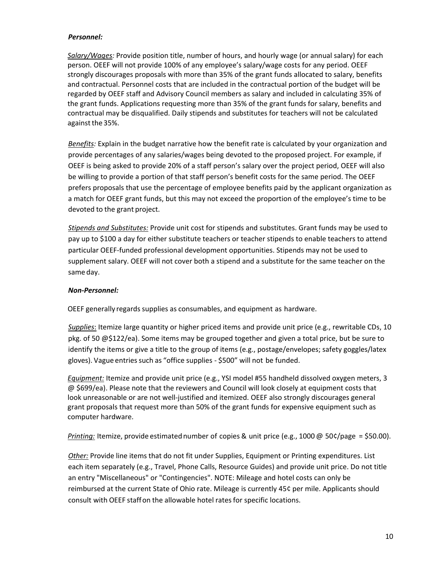## *Personnel:*

*Salary/Wages:* Provide position title, number of hours, and hourly wage (or annual salary) for each person. OEEF will not provide 100% of any employee's salary/wage costs for any period. OEEF strongly discourages proposals with more than 35% of the grant funds allocated to salary, benefits and contractual. Personnel costs that are included in the contractual portion of the budget will be regarded by OEEF staff and Advisory Council members as salary and included in calculating 35% of the grant funds. Applications requesting more than 35% of the grant funds for salary, benefits and contractual may be disqualified. Daily stipends and substitutes for teachers will not be calculated against the 35%.

*Benefits:* Explain in the budget narrative how the benefit rate is calculated by your organization and provide percentages of any salaries/wages being devoted to the proposed project. For example, if OEEF is being asked to provide 20% of a staff person's salary over the project period, OEEF will also be willing to provide a portion of that staff person's benefit costs for the same period. The OEEF prefers proposals that use the percentage of employee benefits paid by the applicant organization as a match for OEEF grant funds, but this may not exceed the proportion of the employee's time to be devoted to the grant project.

*Stipends and Substitutes:* Provide unit cost for stipends and substitutes. Grant funds may be used to pay up to \$100 a day for either substitute teachers or teacher stipends to enable teachers to attend particular OEEF-funded professional development opportunities. Stipends may not be used to supplement salary. OEEF will not cover both a stipend and a substitute for the same teacher on the same day.

## *Non-Personnel:*

OEEF generally regards supplies as consumables, and equipment as hardware.

*Supplies*: Itemize large quantity or higher priced items and provide unit price (e.g., rewritable CDs, 10 pkg. of 50 @\$122/ea). Some items may be grouped together and given a total price, but be sure to identify the items or give a title to the group of items (e.g., postage/envelopes; safety goggles/latex gloves). Vague entries such as "office supplies - \$500" will not be funded.

*Equipment:* Itemize and provide unit price (e.g., YSI model #55 handheld dissolved oxygen meters, 3 @ \$699/ea). Please note that the reviewers and Council will look closely at equipment costs that look unreasonable or are not well-justified and itemized. OEEF also strongly discourages general grant proposals that request more than 50% of the grant funds for expensive equipment such as computer hardware.

*Printing:* Itemize, provide estimatednumber of copies & unit price (e.g., 1000 @ 50¢/page = \$50.00).

*Other:* Provide line items that do not fit under Supplies, Equipment or Printing expenditures. List each item separately (e.g., Travel, Phone Calls, Resource Guides) and provide unit price. Do not title an entry "Miscellaneous" or "Contingencies". NOTE: Mileage and hotel costs can only be reimbursed at the current State of Ohio rate. Mileage is currently 45¢ per mile. Applicants should consult with OEEF staffon the allowable hotel ratesfor specific locations.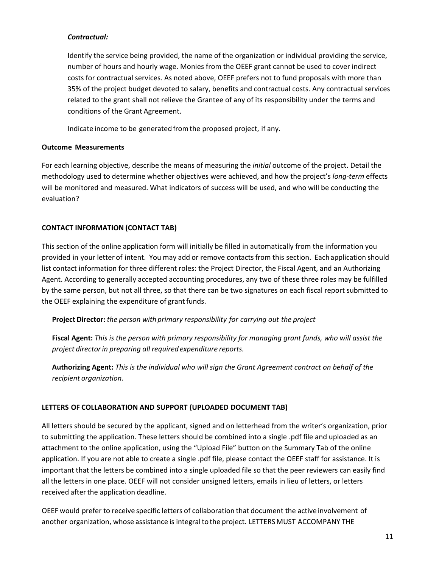## *Contractual:*

Identify the service being provided, the name of the organization or individual providing the service, number of hours and hourly wage. Monies from the OEEF grant cannot be used to cover indirect costs for contractual services. As noted above, OEEF prefers not to fund proposals with more than 35% of the project budget devoted to salary, benefits and contractual costs. Any contractual services related to the grant shall not relieve the Grantee of any of its responsibility under the terms and conditions of the Grant Agreement.

Indicate income to be generated from the proposed project, if any.

## **Outcome Measurements**

For each learning objective, describe the means of measuring the *initial* outcome of the project. Detail the methodology used to determine whether objectives were achieved, and how the project's *long-term* effects will be monitored and measured. What indicators of success will be used, and who will be conducting the evaluation?

# **CONTACT INFORMATION (CONTACT TAB)**

This section of the online application form will initially be filled in automatically from the information you provided in your letter of intent. You may add or remove contactsfrom this section. Eachapplication should list contact information for three different roles: the Project Director, the Fiscal Agent, and an Authorizing Agent. According to generally accepted accounting procedures, any two of these three roles may be fulfilled by the same person, but not all three, so that there can be two signatures on each fiscal report submitted to the OEEF explaining the expenditure of grant funds.

**Project Director:** *the person with primary responsibility for carrying out the project*

**Fiscal Agent:** *This is the person with primary responsibility for managing grant funds, who will assist the project directorin preparing all required expenditure reports.*

**Authorizing Agent:** *This is the individual who will sign the Grant Agreement contract on behalf of the recipient organization.*

# **LETTERS OF COLLABORATION AND SUPPORT (UPLOADED DOCUMENT TAB)**

All letters should be secured by the applicant, signed and on letterhead from the writer's organization, prior to submitting the application. These letters should be combined into a single .pdf file and uploaded as an attachment to the online application, using the "Upload File" button on the Summary Tab of the online application. If you are not able to create a single .pdf file, please contact the OEEF staff for assistance. It is important that the letters be combined into a single uploaded file so that the peer reviewers can easily find all the letters in one place. OEEF will not consider unsigned letters, emails in lieu of letters, or letters received after the application deadline.

OEEF would prefer to receive specific letters of collaboration that document the active involvement of another organization, whose assistance is integralto the project. LETTERSMUST ACCOMPANY THE